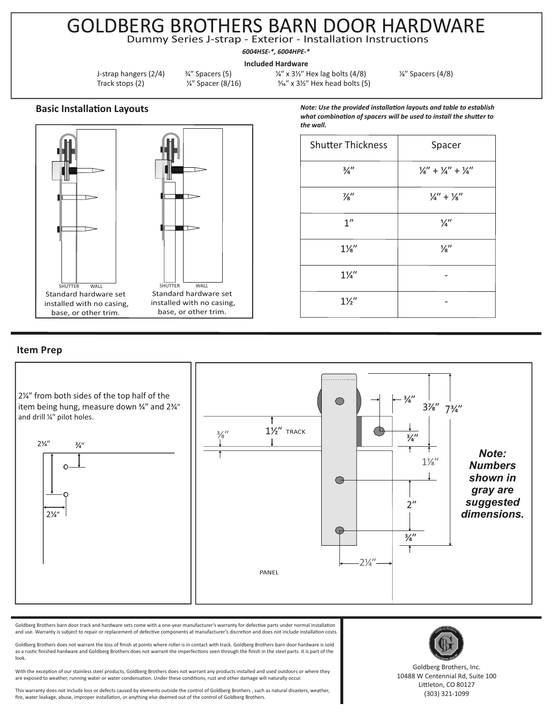## GOLDBERG BROTHERS BARN DOOR HARDWARE Dummy Series J-strap - Exterior - Installation Instructions

*6004HSE-\*, 6004HPE-\** 

**Included Hardware**

J-strap hangers  $(2/4)$   $\frac{3}{4}$ " Spacers (5)  $\frac{1}{4}$ " x 3<sup>1</sup>/<sub>2</sub>" Hex lag bolts (4/8)  $\frac{1}{8}$ " Spacers (4/8) Track stops (2)  $\frac{1}{4}$  Spacer (8/16)  $\frac{5}{4}$  x 3<sup>1/2</sup> Hex head bolts (5)

*the wall.* 

Shutter Thickness | Spacer

*Note: Use the provided installation layouts and table to establish* what combination of spacers will be used to install the shutter to

 $\frac{3}{4}$ <sup>*''*</sup>  $\frac{1}{4}$ '' +  $\frac{1}{4}$ '' +  $\frac{1}{4}$ '' +  $\frac{1}{4}$ ''

 $\frac{1}{2}$ /<sub>8</sub><sup>''</sup> +  $\frac{1}{2}$ <sup>''</sup> +  $\frac{1}{2}$ ''

 $1''$  /4''

 $1\frac{1}{8}$  /s<sup>"</sup>

 $1\frac{1}{4}$  -

 $1\frac{1}{2}$ 

**Basic Installation Layouts** 



## **Item Prep**



Goldberg Brothers barn door track and hardware sets come with a one-year manufacturer's warranty for defective parts under normal installation and use. Warranty is subject to repair or replacement of defective components at manufacturer's discretion and does not include installation costs.

Goldberg Brothers does not warrant the loss of finish at points where roller is in contact with track. Goldberg Brothers barn door hardware is sold as a rustic finished hardware and Goldberg Brothers does not warrant the imperfections seen through the finish in the steel parts. It is part of the look.

With the exception of our stainless steel products, Goldberg Brothers does not warrant any products installed and used outdoors or where they are exposed to weather, running water or water condensation. Under these conditions, rust and other damage will naturally occur.

This warranty does not include loss or defects caused by elements outside the control of Goldberg Brothers , such as natural disasters, weather, fire, water leakage, abuse, improper installation, or anything else deemed out of the control of Goldberg Brothers.



Goldberg Brothers, Inc. 10488 W Centennial Rd, Suite 100 Littleton, CO 80127 (303) 321-1099